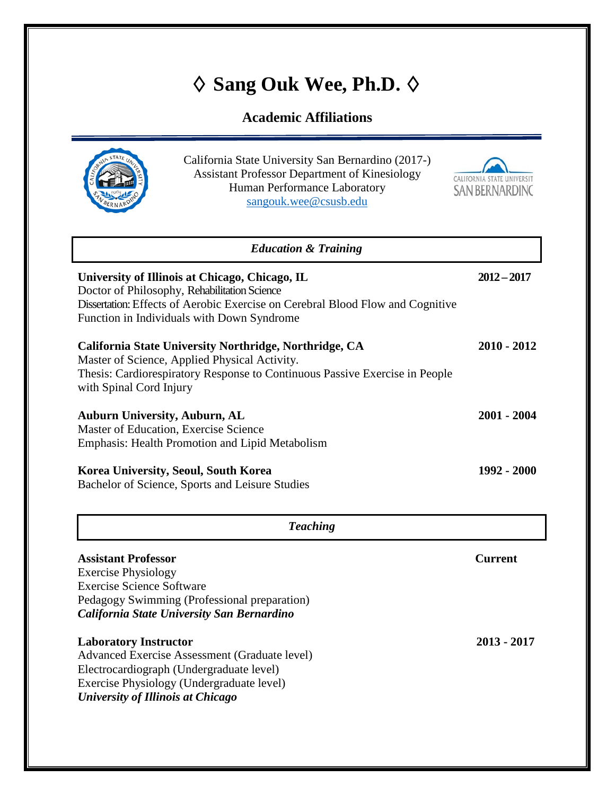# **♦ Sang Ouk Wee, Ph.D. ♦**

## **Academic Affiliations**

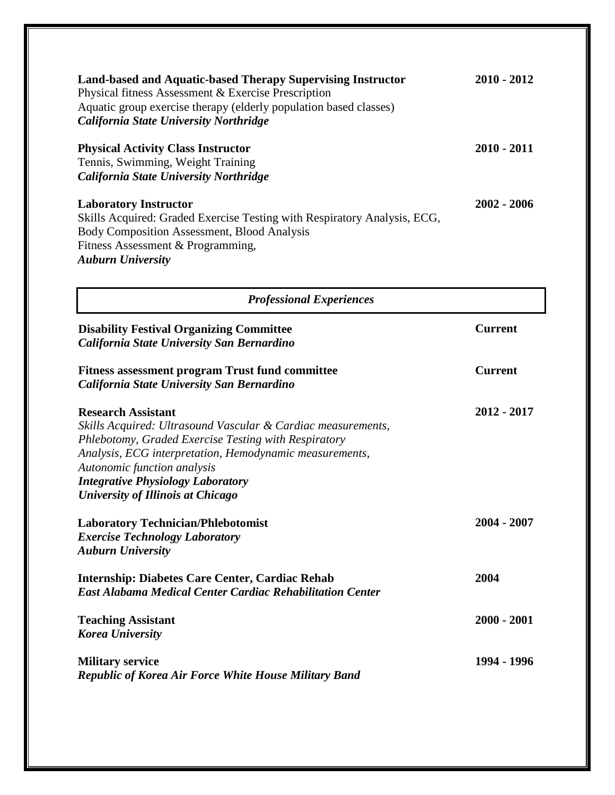| Land-based and Aquatic-based Therapy Supervising Instructor<br>Physical fitness Assessment & Exercise Prescription<br>Aquatic group exercise therapy (elderly population based classes)<br>California State University Northridge | $2010 - 2012$ |
|-----------------------------------------------------------------------------------------------------------------------------------------------------------------------------------------------------------------------------------|---------------|
| <b>Physical Activity Class Instructor</b><br>Tennis, Swimming, Weight Training<br>California State University Northridge                                                                                                          | $2010 - 2011$ |
| <b>Laboratory Instructor</b><br>Skills Acquired: Graded Exercise Testing with Respiratory Analysis, ECG,<br><b>Body Composition Assessment, Blood Analysis</b><br>Fitness Assessment & Programming,<br><b>Auburn University</b>   | $2002 - 2006$ |

| <b>Professional Experiences</b>                                                                                                                                                                                                                                                                                              |                |  |
|------------------------------------------------------------------------------------------------------------------------------------------------------------------------------------------------------------------------------------------------------------------------------------------------------------------------------|----------------|--|
| <b>Disability Festival Organizing Committee</b><br>California State University San Bernardino                                                                                                                                                                                                                                | <b>Current</b> |  |
| <b>Fitness assessment program Trust fund committee</b><br>California State University San Bernardino                                                                                                                                                                                                                         | <b>Current</b> |  |
| <b>Research Assistant</b><br>Skills Acquired: Ultrasound Vascular & Cardiac measurements,<br>Phlebotomy, Graded Exercise Testing with Respiratory<br>Analysis, ECG interpretation, Hemodynamic measurements,<br>Autonomic function analysis<br><b>Integrative Physiology Laboratory</b><br>University of Illinois at Chicago | 2012 - 2017    |  |
| <b>Laboratory Technician/Phlebotomist</b><br><b>Exercise Technology Laboratory</b><br><b>Auburn University</b>                                                                                                                                                                                                               | 2004 - 2007    |  |
| <b>Internship: Diabetes Care Center, Cardiac Rehab</b><br><b>East Alabama Medical Center Cardiac Rehabilitation Center</b>                                                                                                                                                                                                   | 2004           |  |
| <b>Teaching Assistant</b><br><b>Korea University</b>                                                                                                                                                                                                                                                                         | 2000 - 2001    |  |
| <b>Military service</b><br><b>Republic of Korea Air Force White House Military Band</b>                                                                                                                                                                                                                                      | 1994 - 1996    |  |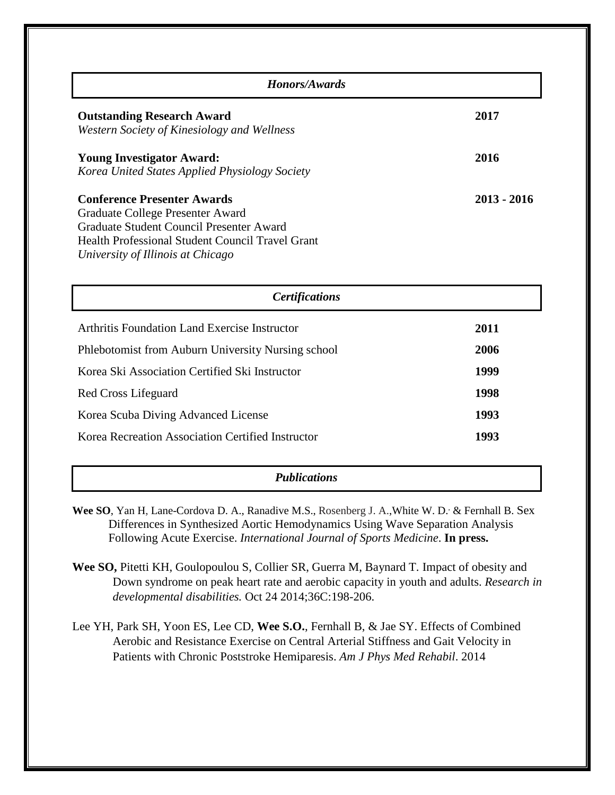| Honors/Awards                                                                                                                                                                                               |             |  |
|-------------------------------------------------------------------------------------------------------------------------------------------------------------------------------------------------------------|-------------|--|
| <b>Outstanding Research Award</b><br>Western Society of Kinesiology and Wellness                                                                                                                            | 2017        |  |
| <b>Young Investigator Award:</b><br>Korea United States Applied Physiology Society                                                                                                                          | 2016        |  |
| <b>Conference Presenter Awards</b><br>Graduate College Presenter Award<br>Graduate Student Council Presenter Award<br>Health Professional Student Council Travel Grant<br>University of Illinois at Chicago | 2013 - 2016 |  |

| <b>Certifications</b>                              |      |
|----------------------------------------------------|------|
| Arthritis Foundation Land Exercise Instructor      | 2011 |
| Phlebotomist from Auburn University Nursing school | 2006 |
| Korea Ski Association Certified Ski Instructor     | 1999 |
| Red Cross Lifeguard                                | 1998 |
| Korea Scuba Diving Advanced License                | 1993 |
| Korea Recreation Association Certified Instructor  | 1993 |

### *Publications*

- Wee SO, Yan H, Lane-Cordova D. A., Ranadive M.S., Rosenberg J. A., White W. D., & Fernhall B. Sex Differences in Synthesized Aortic Hemodynamics Using Wave Separation Analysis Following Acute Exercise. *International Journal of Sports Medicine*. **In press.**
- **Wee SO,** Pitetti KH, Goulopoulou S, Collier SR, Guerra M, Baynard T. Impact of obesity and Down syndrome on peak heart rate and aerobic capacity in youth and adults. *Research in developmental disabilities.* Oct 24 2014;36C:198-206.
- Lee YH, Park SH, Yoon ES, Lee CD, **Wee S.O.**, Fernhall B, & Jae SY. [Effects of Combined](http://www.ncbi.nlm.nih.gov/pubmed/25357149)  [Aerobic and Resistance Exercise on Central Arterial Stiffness and Gait Velocity in](http://www.ncbi.nlm.nih.gov/pubmed/25357149)  [Patients with Chronic Poststroke Hemiparesis.](http://www.ncbi.nlm.nih.gov/pubmed/25357149) *Am J Phys Med Rehabil*. 2014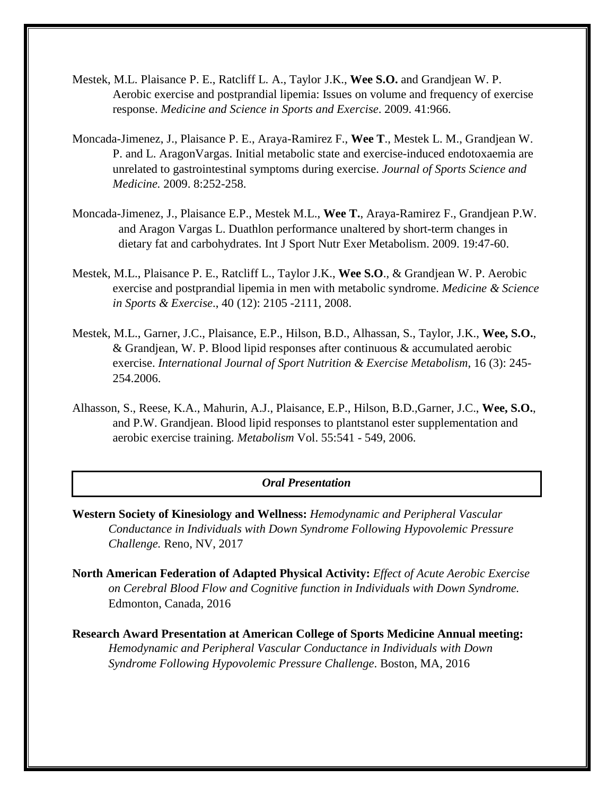- Mestek, M.L. Plaisance P. E., Ratcliff L. A., Taylor J.K., **Wee S.O.** and Grandjean W. P. Aerobic exercise and postprandial lipemia: Issues on volume and frequency of exercise response. *Medicine and Science in Sports and Exercise*. 2009. 41:966.
- Moncada-Jimenez, J., Plaisance P. E., Araya-Ramirez F., **Wee T**., Mestek L. M., Grandjean W. P. and L. AragonVargas. Initial metabolic state and exercise-induced endotoxaemia are unrelated to gastrointestinal symptoms during exercise. *Journal of Sports Science and Medicine.* 2009. 8:252-258.
- Moncada-Jimenez, J., Plaisance E.P., Mestek M.L., **Wee T.**, Araya-Ramirez F., Grandjean P.W. and Aragon Vargas L. Duathlon performance unaltered by short-term changes in dietary fat and carbohydrates. Int J Sport Nutr Exer Metabolism. 2009. 19:47-60.
- Mestek, M.L., Plaisance P. E., Ratcliff L., Taylor J.K., **Wee S.O**., & Grandjean W. P. Aerobic exercise and postprandial lipemia in men with metabolic syndrome. *Medicine & Science in Sports & Exercise*., 40 (12): 2105 -2111, 2008.
- Mestek, M.L., Garner, J.C., Plaisance, E.P., Hilson, B.D., Alhassan, S., Taylor, J.K., **Wee, S.O.**, & Grandjean, W. P. Blood lipid responses after continuous & accumulated aerobic exercise. *International Journal of Sport Nutrition & Exercise Metabolism*, 16 (3): 245- 254.2006.
- Alhasson, S., Reese, K.A., Mahurin, A.J., Plaisance, E.P., Hilson, B.D.,Garner, J.C., **Wee, S.O.**, and P.W. Grandjean. Blood lipid responses to plantstanol ester supplementation and aerobic exercise training. *Metabolism* Vol. 55:541 - 549, 2006.

#### *Oral Presentation*

- **Western Society of Kinesiology and Wellness:** *Hemodynamic and Peripheral Vascular Conductance in Individuals with Down Syndrome Following Hypovolemic Pressure Challenge.* Reno, NV, 2017
- **North American Federation of Adapted Physical Activity:** *Effect of Acute Aerobic Exercise on Cerebral Blood Flow and Cognitive function in Individuals with Down Syndrome.* Edmonton, Canada, 2016
- **Research Award Presentation at American College of Sports Medicine Annual meeting:** *Hemodynamic and Peripheral Vascular Conductance in Individuals with Down Syndrome Following Hypovolemic Pressure Challenge*. Boston, MA, 2016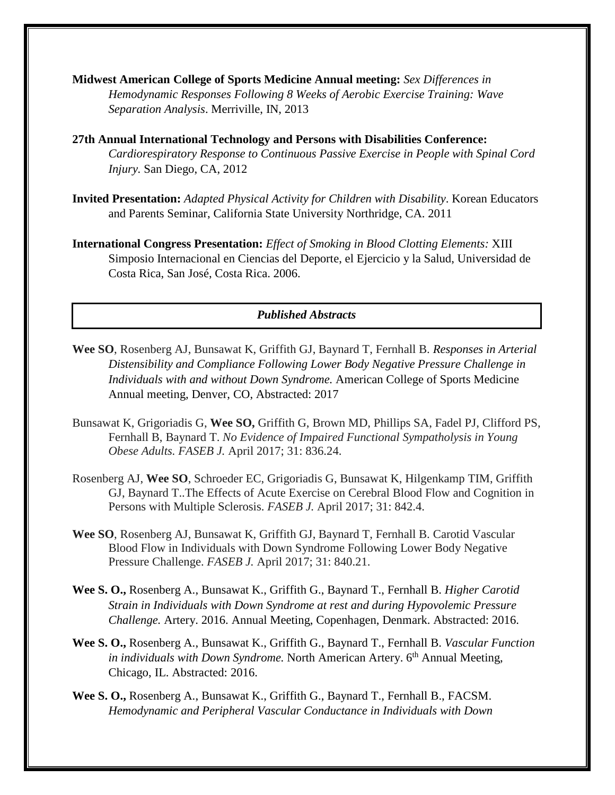- **Midwest American College of Sports Medicine Annual meeting:** *Sex Differences in Hemodynamic Responses Following 8 Weeks of Aerobic Exercise Training: Wave Separation Analysis*. Merriville, IN, 2013
- **27th Annual International Technology and Persons with Disabilities Conference:** *Cardiorespiratory Response to Continuous Passive Exercise in People with Spinal Cord Injury.* San Diego, CA, 2012
- **Invited Presentation:** *Adapted Physical Activity for Children with Disability*. Korean Educators and Parents Seminar, California State University Northridge, CA. 2011
- **International Congress Presentation:** *Effect of Smoking in Blood Clotting Elements:* XIII Simposio Internacional en Ciencias del Deporte, el Ejercicio y la Salud, Universidad de Costa Rica, San José, Costa Rica. 2006.

#### *Published Abstracts*

- **Wee SO**, Rosenberg AJ, Bunsawat K, Griffith GJ, Baynard T, Fernhall B. *Responses in Arterial Distensibility and Compliance Following Lower Body Negative Pressure Challenge in Individuals with and without Down Syndrome.* American College of Sports Medicine Annual meeting, Denver, CO, Abstracted: 2017
- Bunsawat K, Grigoriadis G, **Wee SO,** Griffith G, Brown MD, Phillips SA, Fadel PJ, Clifford PS, Fernhall B, Baynard T. *No Evidence of Impaired Functional Sympatholysis in Young Obese Adults. FASEB J.* April 2017; 31: 836.24.
- Rosenberg AJ, **Wee SO**, Schroeder EC, Grigoriadis G, Bunsawat K, Hilgenkamp TIM, Griffith GJ, Baynard T..The Effects of Acute Exercise on Cerebral Blood Flow and Cognition in Persons with Multiple Sclerosis. *FASEB J.* April 2017; 31: 842.4.
- **Wee SO**, Rosenberg AJ, Bunsawat K, Griffith GJ, Baynard T, Fernhall B. Carotid Vascular Blood Flow in Individuals with Down Syndrome Following Lower Body Negative Pressure Challenge. *FASEB J.* April 2017; 31: 840.21.
- **Wee S. O.,** Rosenberg A., Bunsawat K., Griffith G., Baynard T., Fernhall B. *Higher Carotid Strain in Individuals with Down Syndrome at rest and during Hypovolemic Pressure Challenge.* Artery. 2016. Annual Meeting, Copenhagen, Denmark. Abstracted: 2016.
- **Wee S. O.,** Rosenberg A., Bunsawat K., Griffith G., Baynard T., Fernhall B. *Vascular Function in individuals with Down Syndrome.* North American Artery. 6<sup>th</sup> Annual Meeting, Chicago, IL. Abstracted: 2016.
- **Wee S. O.,** Rosenberg A., Bunsawat K., Griffith G., Baynard T., Fernhall B., FACSM. *Hemodynamic and Peripheral Vascular Conductance in Individuals with Down*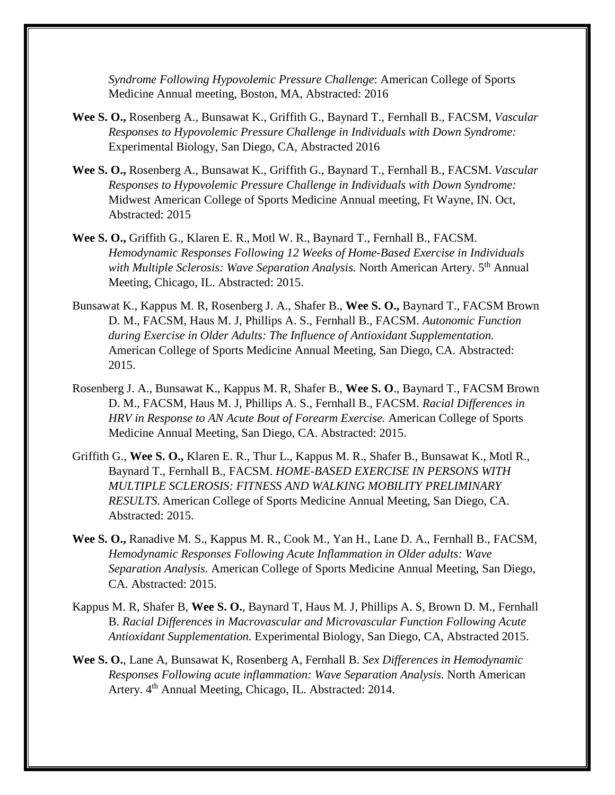*Syndrome Following Hypovolemic Pressure Challenge*: American College of Sports Medicine Annual meeting, Boston, MA, Abstracted: 2016

- **Wee S. O.,** Rosenberg A., Bunsawat K., Griffith G., Baynard T., Fernhall B., FACSM, *Vascular Responses to Hypovolemic Pressure Challenge in Individuals with Down Syndrome:*  Experimental Biology, San Diego, CA, Abstracted 2016
- **Wee S. O.,** Rosenberg A., Bunsawat K., Griffith G., Baynard T., Fernhall B., FACSM. *Vascular Responses to Hypovolemic Pressure Challenge in Individuals with Down Syndrome:* Midwest American College of Sports Medicine Annual meeting, Ft Wayne, IN. Oct, Abstracted: 2015
- **Wee S. O.,** Griffith G., Klaren E. R., Motl W. R., Baynard T., Fernhall B., FACSM. *Hemodynamic Responses Following 12 Weeks of Home-Based Exercise in Individuals with Multiple Sclerosis: Wave Separation Analysis.* North American Artery. 5<sup>th</sup> Annual Meeting, Chicago, IL. Abstracted: 2015.
- Bunsawat K., Kappus M. R, Rosenberg J. A., Shafer B., **Wee S. O.,** Baynard T., FACSM Brown D. M., FACSM, Haus M. J, Phillips A. S., Fernhall B., FACSM. *Autonomic Function during Exercise in Older Adults: The Influence of Antioxidant Supplementation.* American College of Sports Medicine Annual Meeting, San Diego, CA. Abstracted: 2015.
- Rosenberg J. A., Bunsawat K., Kappus M. R, Shafer B., **Wee S. O**., Baynard T., FACSM Brown D. M., FACSM, Haus M. J, Phillips A. S., Fernhall B., FACSM. *Racial Differences in HRV in Response to AN Acute Bout of Forearm Exercise.* American College of Sports Medicine Annual Meeting, San Diego, CA. Abstracted: 2015.
- Griffith G., **Wee S. O.,** Klaren E. R., Thur L., Kappus M. R., Shafer B., Bunsawat K., Motl R., Baynard T., Fernhall B., FACSM. *HOME-BASED EXERCISE IN PERSONS WITH MULTIPLE SCLEROSIS: FITNESS AND WALKING MOBILITY PRELIMINARY RESULTS.* American College of Sports Medicine Annual Meeting, San Diego, CA. Abstracted: 2015.
- **Wee S. O.,** Ranadive M. S., Kappus M. R., Cook M., Yan H., Lane D. A., Fernhall B., FACSM, *Hemodynamic Responses Following Acute Inflammation in Older adults: Wave Separation Analysis.* American College of Sports Medicine Annual Meeting, San Diego, CA. Abstracted: 2015.
- Kappus M. R, Shafer B, **Wee S. O.**, Baynard T, Haus M. J, Phillips A. S, Brown D. M., Fernhall B. *Racial Differences in Macrovascular and Microvascular Function Following Acute Antioxidant Supplementation.* Experimental Biology, San Diego, CA, Abstracted 2015.
- **Wee S. O.**, Lane A, Bunsawat K, Rosenberg A, Fernhall B. *Sex Differences in Hemodynamic Responses Following acute inflammation: Wave Separation Analysis.* North American Artery. 4<sup>th</sup> Annual Meeting, Chicago, IL. Abstracted: 2014.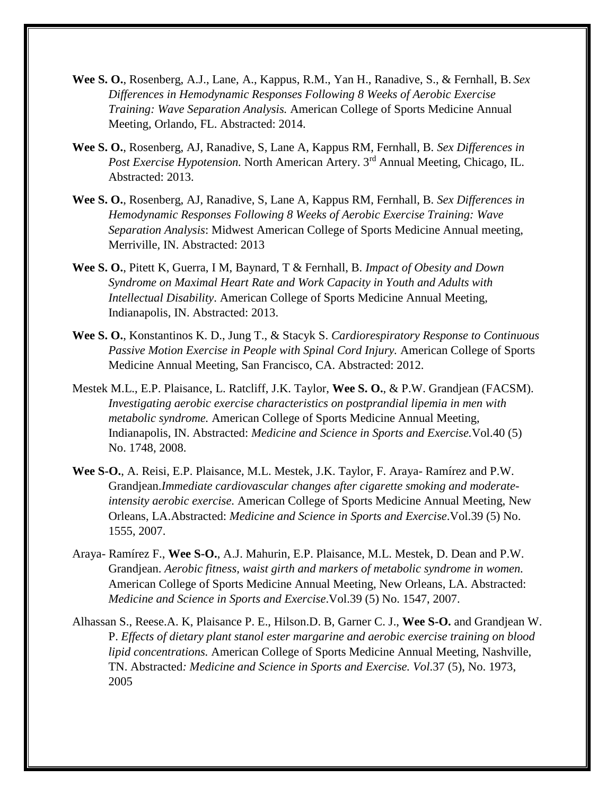- **Wee S. O.**, Rosenberg, A.J., Lane, A., Kappus, R.M., Yan H., Ranadive, S., & Fernhall, B. *Sex Differences in Hemodynamic Responses Following 8 Weeks of Aerobic Exercise Training: Wave Separation Analysis.* American College of Sports Medicine Annual Meeting, Orlando, FL. Abstracted: 2014.
- **Wee S. O.**, Rosenberg, AJ, Ranadive, S, Lane A, Kappus RM, Fernhall, B. *Sex Differences in Post Exercise Hypotension.* North American Artery. 3rd Annual Meeting, Chicago, IL. Abstracted: 2013.
- **Wee S. O.**, Rosenberg, AJ, Ranadive, S, Lane A, Kappus RM, Fernhall, B. *Sex Differences in Hemodynamic Responses Following 8 Weeks of Aerobic Exercise Training: Wave Separation Analysis*: Midwest American College of Sports Medicine Annual meeting, Merriville, IN. Abstracted: 2013
- **Wee S. O.**, Pitett K, Guerra, I M, Baynard, T & Fernhall, B. *Impact of Obesity and Down Syndrome on Maximal Heart Rate and Work Capacity in Youth and Adults with Intellectual Disability*. American College of Sports Medicine Annual Meeting, Indianapolis, IN. Abstracted: 2013.
- **Wee S. O.**, Konstantinos K. D., Jung T., & Stacyk S. *Cardiorespiratory Response to Continuous Passive Motion Exercise in People with Spinal Cord Injury.* American College of Sports Medicine Annual Meeting, San Francisco, CA. Abstracted: 2012.
- Mestek M.L., E.P. Plaisance, L. Ratcliff, J.K. Taylor, **Wee S. O.**, & P.W. Grandjean (FACSM). *Investigating aerobic exercise characteristics on postprandial lipemia in men with metabolic syndrome.* American College of Sports Medicine Annual Meeting, Indianapolis, IN. Abstracted: *Medicine and Science in Sports and Exercise.*Vol.40 (5) No. 1748, 2008.
- **Wee S-O.**, A. Reisi, E.P. Plaisance, M.L. Mestek, J.K. Taylor, F. Araya- Ramírez and P.W. Grandjean.*Immediate cardiovascular changes after cigarette smoking and moderateintensity aerobic exercise.* American College of Sports Medicine Annual Meeting, New Orleans, LA.Abstracted: *Medicine and Science in Sports and Exercise*.Vol.39 (5) No. 1555, 2007.
- Araya- Ramírez F., **Wee S-O.**, A.J. Mahurin, E.P. Plaisance, M.L. Mestek, D. Dean and P.W. Grandjean. *Aerobic fitness, waist girth and markers of metabolic syndrome in women.*  American College of Sports Medicine Annual Meeting, New Orleans, LA. Abstracted: *Medicine and Science in Sports and Exercise*.Vol.39 (5) No. 1547, 2007.
- Alhassan S., Reese.A. K, Plaisance P. E., Hilson.D. B, Garner C. J., **Wee S-O.** and Grandjean W. P. *Effects of dietary plant stanol ester margarine and aerobic exercise training on blood lipid concentrations.* American College of Sports Medicine Annual Meeting, Nashville, TN. Abstracted*: Medicine and Science in Sports and Exercise. Vol*.37 (5), No. 1973, 2005